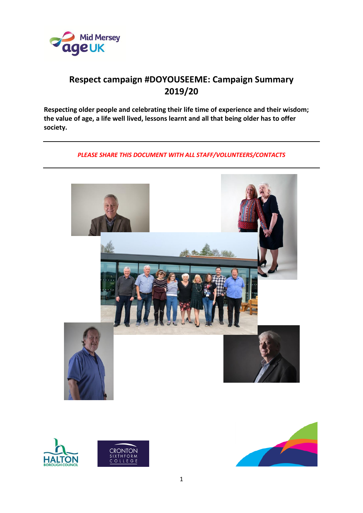

## **Respect campaign #DOYOUSEEME: Campaign Summary 2019/20**

**Respecting older people and celebrating their life time of experience and their wisdom; the value of age, a life well lived, lessons learnt and all that being older has to offer society.**

#### *PLEASE SHARE THIS DOCUMENT WITH ALL STAFF/VOLUNTEERS/CONTACTS*





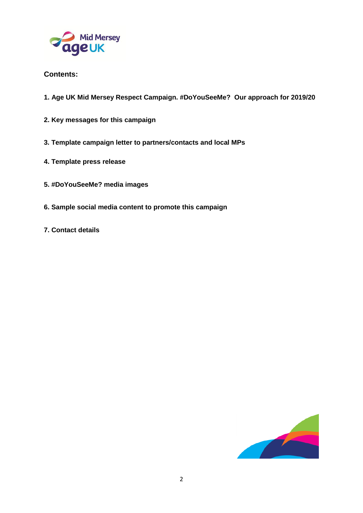

## **Contents:**

- **1. Age UK Mid Mersey Respect Campaign. #DoYouSeeMe? Our approach for 2019/20**
- **2. Key messages for this campaign**
- **3. Template campaign letter to partners/contacts and local MPs**
- **4. Template press release**
- **5. #DoYouSeeMe? media images**
- **6. Sample social media content to promote this campaign**
- **7. Contact details**

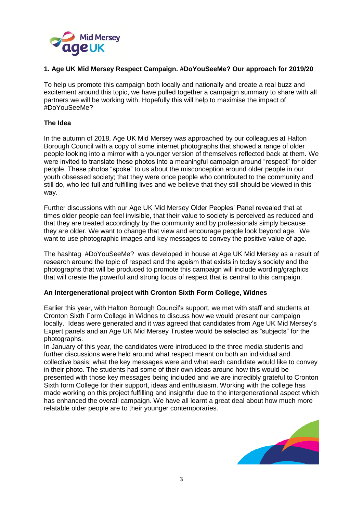

#### **1. Age UK Mid Mersey Respect Campaign. #DoYouSeeMe? Our approach for 2019/20**

To help us promote this campaign both locally and nationally and create a real buzz and excitement around this topic, we have pulled together a campaign summary to share with all partners we will be working with. Hopefully this will help to maximise the impact of #DoYouSeeMe?

#### **The Idea**

In the autumn of 2018, Age UK Mid Mersey was approached by our colleagues at Halton Borough Council with a copy of some internet photographs that showed a range of older people looking into a mirror with a younger version of themselves reflected back at them. We were invited to translate these photos into a meaningful campaign around "respect" for older people. These photos "spoke" to us about the misconception around older people in our youth obsessed society; that they were once people who contributed to the community and still do, who led full and fulfilling lives and we believe that they still should be viewed in this way.

Further discussions with our Age UK Mid Mersey Older Peoples' Panel revealed that at times older people can feel invisible, that their value to society is perceived as reduced and that they are treated accordingly by the community and by professionals simply because they are older. We want to change that view and encourage people look beyond age. We want to use photographic images and key messages to convey the positive value of age.

The hashtag #DoYouSeeMe? was developed in house at Age UK Mid Mersey as a result of research around the topic of respect and the ageism that exists in today's society and the photographs that will be produced to promote this campaign will include wording/graphics that will create the powerful and strong focus of respect that is central to this campaign.

#### **An Intergenerational project with Cronton Sixth Form College, Widnes**

Earlier this year, with Halton Borough Council's support, we met with staff and students at Cronton Sixth Form College in Widnes to discuss how we would present our campaign locally. Ideas were generated and it was agreed that candidates from Age UK Mid Mersey's Expert panels and an Age UK Mid Mersey Trustee would be selected as "subjects" for the photographs.

In January of this year, the candidates were introduced to the three media students and further discussions were held around what respect meant on both an individual and collective basis; what the key messages were and what each candidate would like to convey in their photo. The students had some of their own ideas around how this would be presented with those key messages being included and we are incredibly grateful to Cronton Sixth form College for their support, ideas and enthusiasm. Working with the college has made working on this project fulfilling and insightful due to the intergenerational aspect which has enhanced the overall campaign. We have all learnt a great deal about how much more relatable older people are to their younger contemporaries.

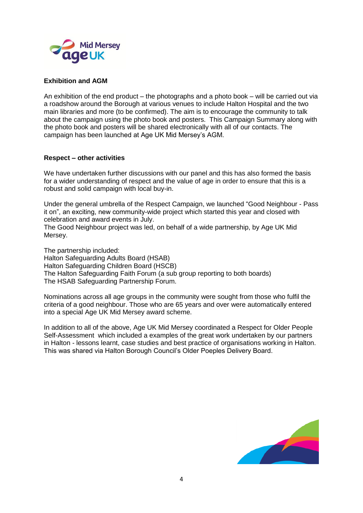

#### **Exhibition and AGM**

An exhibition of the end product – the photographs and a photo book – will be carried out via a roadshow around the Borough at various venues to include Halton Hospital and the two main libraries and more (to be confirmed). The aim is to encourage the community to talk about the campaign using the photo book and posters. This Campaign Summary along with the photo book and posters will be shared electronically with all of our contacts. The campaign has been launched at Age UK Mid Mersey's AGM.

#### **Respect – other activities**

We have undertaken further discussions with our panel and this has also formed the basis for a wider understanding of respect and the value of age in order to ensure that this is a robust and solid campaign with local buy-in.

Under the general umbrella of the Respect Campaign, we launched "Good Neighbour - Pass it on", an exciting, new community-wide project which started this year and closed with celebration and award events in July.

The Good Neighbour project was led, on behalf of a wide partnership, by Age UK Mid Mersey.

The partnership included: Halton Safeguarding Adults Board (HSAB)

Halton Safeguarding Children Board (HSCB)

The Halton Safeguarding Faith Forum (a sub group reporting to both boards) The HSAB Safeguarding Partnership Forum.

Nominations across all age groups in the community were sought from those who fulfil the criteria of a good neighbour. Those who are 65 years and over were automatically entered into a special Age UK Mid Mersey award scheme.

In addition to all of the above, Age UK Mid Mersey coordinated a Respect for Older People Self-Assessment which included a examples of the great work undertaken by our partners in Halton - lessons learnt, case studies and best practice of organisations working in Halton. This was shared via Halton Borough Council's Older Poeples Delivery Board.

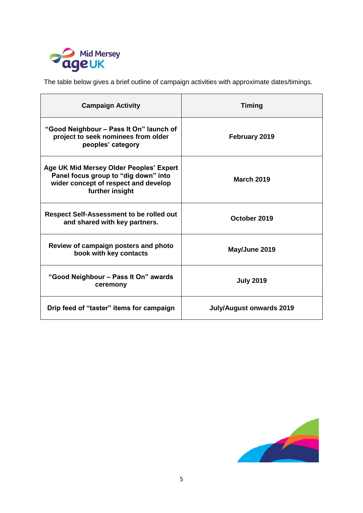

The table below gives a brief outline of campaign activities with approximate dates/timings.

| <b>Campaign Activity</b>                                                                                                                   | <b>Timing</b>                   |
|--------------------------------------------------------------------------------------------------------------------------------------------|---------------------------------|
| "Good Neighbour – Pass It On" launch of<br>project to seek nominees from older<br>peoples' category                                        | February 2019                   |
| Age UK Mid Mersey Older Peoples' Expert<br>Panel focus group to "dig down" into<br>wider concept of respect and develop<br>further insight | <b>March 2019</b>               |
| <b>Respect Self-Assessment to be rolled out</b><br>and shared with key partners.                                                           | October 2019                    |
| Review of campaign posters and photo<br>book with key contacts                                                                             | May/June 2019                   |
| "Good Neighbour – Pass It On" awards<br>ceremony                                                                                           | <b>July 2019</b>                |
| Drip feed of "taster" items for campaign                                                                                                   | <b>July/August onwards 2019</b> |

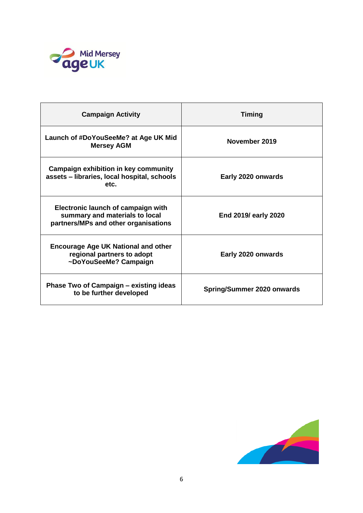

| <b>Campaign Activity</b>                                                                                            | <b>Timing</b>                     |
|---------------------------------------------------------------------------------------------------------------------|-----------------------------------|
| Launch of #DoYouSeeMe? at Age UK Mid<br><b>Mersey AGM</b>                                                           | November 2019                     |
| <b>Campaign exhibition in key community</b><br>assets - libraries, local hospital, schools<br>etc.                  | Early 2020 onwards                |
| <b>Electronic launch of campaign with</b><br>summary and materials to local<br>partners/MPs and other organisations | End 2019/ early 2020              |
| <b>Encourage Age UK National and other</b><br>regional partners to adopt<br>~DoYouSeeMe? Campaign                   | Early 2020 onwards                |
| Phase Two of Campaign - existing ideas<br>to be further developed                                                   | <b>Spring/Summer 2020 onwards</b> |

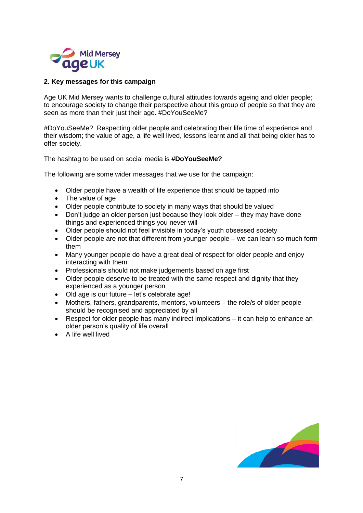

#### **2. Key messages for this campaign**

Age UK Mid Mersey wants to challenge cultural attitudes towards ageing and older people; to encourage society to change their perspective about this group of people so that they are seen as more than their just their age. #DoYouSeeMe?

#DoYouSeeMe? Respecting older people and celebrating their life time of experience and their wisdom; the value of age, a life well lived, lessons learnt and all that being older has to offer society.

The hashtag to be used on social media is **#DoYouSeeMe?**

The following are some wider messages that we use for the campaign:

- Older people have a wealth of life experience that should be tapped into
- The value of age
- Older people contribute to society in many ways that should be valued
- Don't judge an older person just because they look older they may have done things and experienced things you never will
- Older people should not feel invisible in today's youth obsessed society
- Older people are not that different from younger people we can learn so much form them
- Many younger people do have a great deal of respect for older people and enjoy interacting with them
- Professionals should not make judgements based on age first
- Older people deserve to be treated with the same respect and dignity that they experienced as a younger person
- Old age is our future let's celebrate age!
- Mothers, fathers, grandparents, mentors, volunteers the role/s of older people should be recognised and appreciated by all
- Respect for older people has many indirect implications it can help to enhance an older person's quality of life overall
- A life well lived

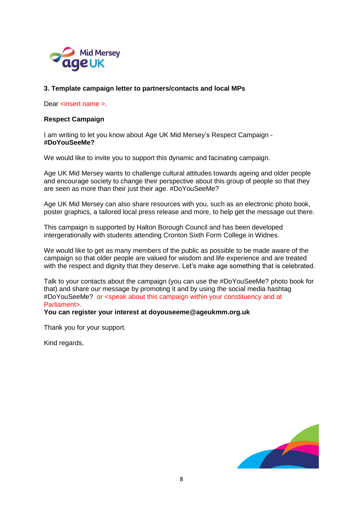

#### **3. Template campaign letter to partners/contacts and local MPs**

Dear <insert name >.

#### **Respect Campaign**

I am writing to let you know about Age UK Mid Mersey's Respect Campaign - **#DoYouSeeMe?**

We would like to invite you to support this dynamic and facinating campaign.

Age UK Mid Mersey wants to challenge cultural attitudes towards ageing and older people and encourage society to change their perspective about this group of people so that they are seen as more than their just their age. #DoYouSeeMe?

Age UK Mid Mersey can also share resources with you, such as an electronic photo book, poster graphics, a tailored local press release and more, to help get the message out there.

This campaign is supported by Halton Borough Council and has been developed intergerationally with students attending Cronton Sixth Form College in Widnes.

We would like to get as many members of the public as possible to be made aware of the campaign so that older people are valued for wisdom and life experience and are treated with the respect and dignity that they deserve. Let's make age something that is celebrated.

Talk to your contacts about the campaign (you can use the #DoYouSeeMe? photo book for that) and share our message by promoting it and by using the social media hashtag #DoYouSeeMe? or <speak about this campaign within your constituency and at Parliament>.

#### **You can register your interest at doyouseeme@ageukmm.org.uk**

Thank you for your support.

Kind regards,

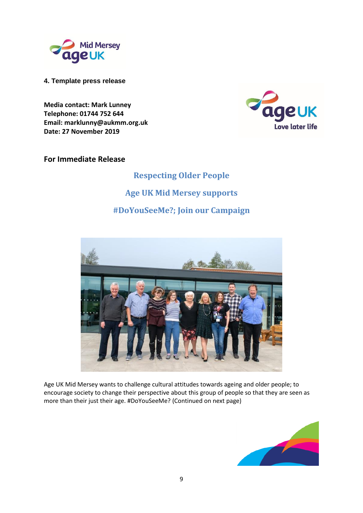

**4. Template press release**

**Media contact: Mark Lunney Telephone: 01744 752 644 Email: marklunny@aukmm.org.uk Date: 27 November 2019**



### **For Immediate Release**

# **Respecting Older People Age UK Mid Mersey supports #DoYouSeeMe?; Join our Campaign**



Age UK Mid Mersey wants to challenge cultural attitudes towards ageing and older people; to encourage society to change their perspective about this group of people so that they are seen as more than their just their age. #DoYouSeeMe? (Continued on next page)

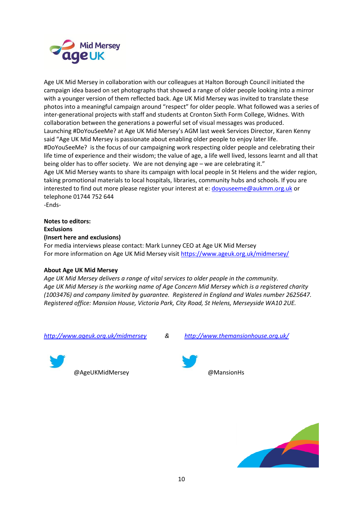

Age UK Mid Mersey in collaboration with our colleagues at Halton Borough Council initiated the campaign idea based on set photographs that showed a range of older people looking into a mirror with a younger version of them reflected back. Age UK Mid Mersey was invited to translate these photos into a meaningful campaign around "respect" for older people. What followed was a series of inter-generational projects with staff and students at Cronton Sixth Form College, Widnes. With collaboration between the generations a powerful set of visual messages was produced. Launching #DoYouSeeMe? at Age UK Mid Mersey's AGM last week Services Director, Karen Kenny said "Age UK Mid Mersey is passionate about enabling older people to enjoy later life. #DoYouSeeMe? is the focus of our campaigning work respecting older people and celebrating their life time of experience and their wisdom; the value of age, a life well lived, lessons learnt and all that being older has to offer society. We are not denying age – we are celebrating it." Age UK Mid Mersey wants to share its campaign with local people in St Helens and the wider region, taking promotional materials to local hospitals, libraries, community hubs and schools. If you are interested to find out more please register your interest at e: [doyouseeme@aukmm.org.uk](mailto:doyouseeme@aukmm.org.uk) or telephone 01744 752 644 -Ends-

**Notes to editors: Exclusions (Insert here and exclusions)** For media interviews please contact: Mark Lunney CEO at Age UK Mid Mersey

For more information on Age UK Mid Mersey visi[t https://www.ageuk.org.uk/midmersey/](https://www.ageuk.org.uk/midmersey/)

#### **About Age UK Mid Mersey**

*Age UK Mid Mersey delivers a range of vital services to older people in the community. Age UK Mid Mersey is the working name of Age Concern Mid Mersey which is a registered charity (1003476) and company limited by guarantee. Registered in England and Wales number 2625647. Registered office: Mansion House, Victoria Park, City Road, St Helens, Merseyside WA10 2UE.* 



@AgeUKMidMersey @MansionHs





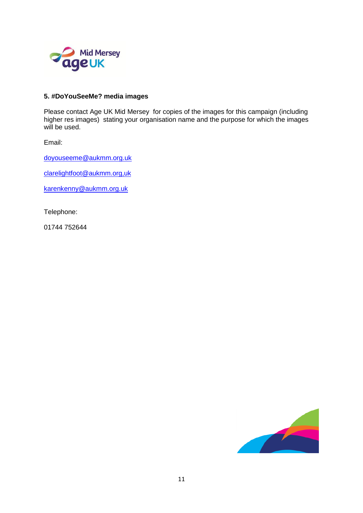

#### **5. #DoYouSeeMe? media images**

Please contact Age UK Mid Mersey for copies of the images for this campaign (including higher res images) stating your organisation name and the purpose for which the images will be used.

Email:

[doyouseeme@aukmm.org.uk](mailto:doyouseeme@aukmm.org.uk)

[clarelightfoot@aukmm.org,uk](mailto:clarelightfoot@aukmm.org,uk)

[karenkenny@aukmm.org.uk](mailto:karenkenny@aukmm.org.uk)

Telephone:

01744 752644

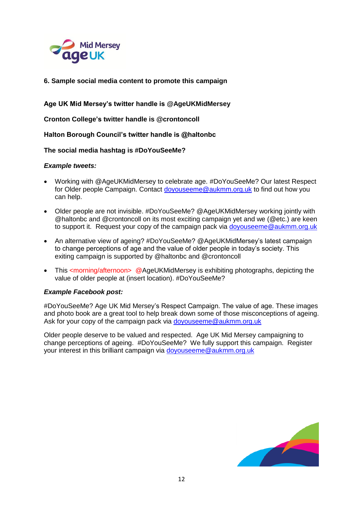

**6. Sample social media content to promote this campaign**

**Age UK Mid Mersey's twitter handle is @AgeUKMidMersey**

**Cronton College's twitter handle is @crontoncoll**

**Halton Borough Council's twitter handle is @haltonbc**

**The social media hashtag is #DoYouSeeMe?**

#### *Example tweets:*

- Working with @AgeUKMidMersey to celebrate age. #DoYouSeeMe? Our latest Respect for Older people Campaign. Contact [doyouseeme@aukmm.org.uk](mailto:doyouseeme@aukmm.org.uk) to find out how you can help.
- Older people are not invisible. #DoYouSeeMe? @AgeUKMidMersey working jointly with @haltonbc and @crontoncoll on its most exciting campaign yet and we (@etc.) are keen to support it. Request your copy of the campaign pack via [doyouseeme@aukmm.org.uk](mailto:doyouseeme@aukmm.org.uk)
- An alternative view of ageing? #DoYouSeeMe? @AgeUKMidMersey's latest campaign to change perceptions of age and the value of older people in today's society. This exiting campaign is supported by @haltonbc and @crontoncoll
- This <morning/afternoon> @AgeUKMidMersey is exhibiting photographs, depicting the value of older people at (insert location). #DoYouSeeMe?

#### *Example Facebook post:*

#DoYouSeeMe? Age UK Mid Mersey's Respect Campaign. The value of age. These images and photo book are a great tool to help break down some of those misconceptions of ageing. Ask for your copy of the campaign pack via [doyouseeme@aukmm.org.uk](mailto:doyouseeme@aukmm.org.uk)

Older people deserve to be valued and respected. Age UK Mid Mersey campaigning to change perceptions of ageing. #DoYouSeeMe? We fully support this campaign. Register your interest in this brilliant campaign via [doyouseeme@aukmm.org.uk](mailto:doyouseeme@aukmm.org.uk)